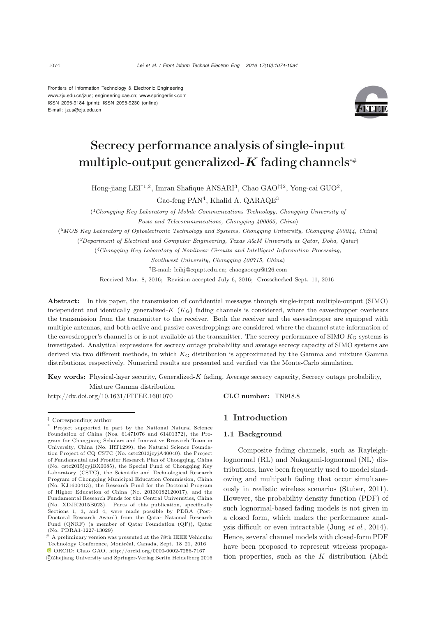Frontiers of Information Technology & Electronic Engineering www.zju.edu.cn/jzus; engineering.cae.cn; www.springerlink.com ISSN 2095-9184 (print); ISSN 2095-9230 (online) E-mail: jzus@zju.edu.cn



# Secrecy performance analysis of single-input multiple-output generalized- $K$  fading channels<sup>\*</sup>

Hong-jiang LEI<sup>†1,2</sup>, Imran Shafique ANSARI<sup>3</sup>, Chao GAO<sup>†‡2</sup>, Yong-cai GUO<sup>2</sup>,

Gao-feng PAN<sup>4</sup>, Khalid A. QARAQE<sup>3</sup>

(*1Chongqing Key Laboratory of Mobile Communications Technology, Chongqing University of Posts and Telecommunications, Chongqing 400065, China*)

(*2MOE Key Laboratory of Optoelectronic Technology and Systems, Chongqing University, Chongqing 400044, China*)

(*3Department of Electrical and Computer Engineering, Texas A*&*M University at Qatar, Doha, Qatar*)

(*4Chongqing Key Laboratory of Nonlinear Circuits and Intelligent Information Processing,*

*Southwest University, Chongqing 400715, China*) *†*E-mail: leihj@cqupt.edu.cn; chaogaocqu@126.com

Received Mar. 8, 2016; Revision accepted July 6, 2016; Crosschecked Sept. 11, 2016

Abstract: In this paper, the transmission of confidential messages through single-input multiple-output (SIMO) independent and identically generalized- $K$  ( $K<sub>G</sub>$ ) fading channels is considered, where the eavesdropper overhears the transmission from the transmitter to the receiver. Both the receiver and the eavesdropper are equipped with multiple antennas, and both active and passive eavesdroppings are considered where the channel state information of the eavesdropper's channel is or is not available at the transmitter. The secrecy performance of SIMO  $K<sub>G</sub>$  systems is investigated. Analytical expressions for secrecy outage probability and average secrecy capacity of SIMO systems are derived via two different methods, in which *K*<sup>G</sup> distribution is approximated by the Gamma and mixture Gamma distributions, respectively. Numerical results are presented and verified via the Monte-Carlo simulation.

Key words: Physical-layer security, Generalized-*K* fading, Average secrecy capacity, Secrecy outage probability, Mixture Gamma distribution

http://dx.doi.org/10.1631/FITEE.1601070 CLC number: TN918.8

# 1 Introduction

#### 1.1 Background

Composite fading channels, such as Rayleighlognormal (RL) and Nakagami-lognormal (NL) distributions, have been frequently used to model shadowing and multipath fading that occur simultaneously in realistic wireless scenarios [\(Stuber](#page-9-0), [2011\)](#page-9-0). However, the probability density function (PDF) of such lognormal-based fading models is not given in a closed form, which makes the performance analysis difficult or even intractable [\(Jung](#page-9-1) *et al.*, [2014\)](#page-9-1). Hence, several channel models with closed-form PDF have been proposed to represent wireless propagation properties, such as the  $K$  distribution (Abdi

*<sup>‡</sup>* Corresponding author

Project supported in part by the National Natural Science Foundation of China (Nos. 61471076 and 61401372), the Program for Changjiang Scholars and Innovative Research Team in University, China (No. IRT1299), the Natural Science Foundation Project of CQ CSTC (No. cstc2013jcyjA40040), the Project of Fundamental and Frontier Research Plan of Chongqing, China (No. cstc2015jcyjBX0085), the Special Fund of Chongqing Key Laboratory (CSTC), the Scientific and Technological Research Program of Chongqing Municipal Education Commission, China (No. KJ1600413), the Research Fund for the Doctoral Program of Higher Education of China (No. 20130182120017), and the Fundamental Research Funds for the Central Universities, China (No. XDJK2015B023). Parts of this publication, specifically Sections 1, 3, and 4, were made possible by PDRA (Post-Doctoral Research Award) from the Qatar National Research Fund (QNRF) (a member of Qatar Foundation (QF)), Qatar (No. PDRA1-1227-13029)

 $\pm$  A preliminary version was presented at the 78th IEEE Vehicular Technology Conference, Montréal, Canada, Sept. 18–21, 2016 ORCID: Chao GAO, http://orcid.org/0000-0002-7256-7167

c Zhejiang University and Springer-Verlag Berlin Heidelberg 2016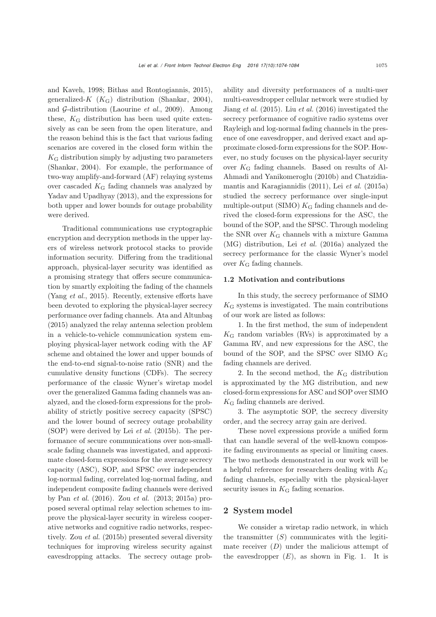and Kaveh, [1998](#page-8-0); [Bithas and Rontogiannis, 2015\)](#page-9-2), generalized-K  $(K_G)$  distribution [\(Shankar](#page-9-3), [2004\)](#page-9-3), and G-distribution [\(Laourine](#page-9-4) *et al.*, [2009\)](#page-9-4). Among these,  $K_G$  distribution has been used quite extensively as can be seen from the open literature, and the reason behind this is the fact that various fading scenarios are covered in the closed form within the  $K_G$  distribution simply by adjusting two parameters [\(Shankar](#page-9-3), [2004](#page-9-3)). For example, the performance of two-way amplify-and-forward (AF) relaying systems over cascaded  $K_G$  fading channels was analyzed by [Yadav and Upadhyay](#page-9-5) [\(2013](#page-9-5)), and the expressions for both upper and lower bounds for outage probability were derived.

Traditional communications use cryptographic encryption and decryption methods in the upper layers of wireless network protocol stacks to provide information security. Differing from the traditional approach, physical-layer security was identified as a promising strategy that offers secure communication by smartly exploiting the fading of the channels [\(Yang](#page-9-6) *et al.*, [2015\)](#page-9-6). Recently, extensive efforts have been devoted to exploring the physical-layer secrecy performance over fading channels. [Ata and Altunbaş](#page-9-7) [\(2015](#page-9-7)) analyzed the relay antenna selection problem in a vehicle-to-vehicle communication system employing physical-layer network coding with the AF scheme and obtained the lower and upper bounds of the end-to-end signal-to-noise ratio (SNR) and the cumulative density functions (CDFs). The secrecy performance of the classic Wyner's wiretap model over the generalized Gamma fading channels was analyzed, and the closed-form expressions for the probability of strictly positive secrecy capacity (SPSC) and the lower bound of secrecy outage probability (SOP) were derived by Lei *[et al.](#page-9-8)* [\(2015b](#page-9-8)). The performance of secure communications over non-smallscale fading channels was investigated, and approximate closed-form expressions for the average secrecy capacity (ASC), SOP, and SPSC over independent log-normal fading, correlated log-normal fading, and independent composite fading channels were derived by Pan *[et al.](#page-9-9)* [\(2016\)](#page-9-9). Zou *et al.* (2013; 2015a) proposed several optimal relay selection schemes to improve the physical-layer security in wireless cooperative networks and cognitive radio networks, respectively. Zou *[et al.](#page-9-10)* [\(2015b](#page-9-10)) presented several diversity techniques for improving wireless security against eavesdropping attacks. The secrecy outage probability and diversity performances of a multi-user multi-eavesdropper cellular network were studied by [Jiang](#page-9-11) *et al.* [\(2015](#page-9-11)). Liu *[et al.](#page-9-12)* [\(2016](#page-9-12)) investigated the secrecy performance of cognitive radio systems over Rayleigh and log-normal fading channels in the presence of one eavesdropper, and derived exact and approximate closed-form expressions for the SOP. However, no study focuses on the physical-layer security over  $K_G$  fading channels. [Based](#page-8-1) [on](#page-8-1) [results](#page-8-1) [of](#page-8-1) Al-Ahmadi and Yanikomero[glu](#page-9-13) [\(2010b](#page-8-1)[\)](#page-9-13) [and](#page-9-13) Chatzidiamantis and Karagiannidis [\(2011](#page-9-13)), Lei *[et al.](#page-9-14)* [\(2015a](#page-9-14)) studied the secrecy performance over single-input multiple-output (SIMO)  $K_G$  fading channels and derived the closed-form expressions for the ASC, the bound of the SOP, and the SPSC. Through modeling the SNR over  $K_G$  channels with a mixture Gamma (MG) distribution, Lei *[et al.](#page-9-15)* [\(2016a](#page-9-15)) analyzed the secrecy performance for the classic Wyner's model over  $K_G$  fading channels.

#### 1.2 Motivation and contributions

In this study, the secrecy performance of SIMO  $K_G$  systems is investigated. The main contributions of our work are listed as follows:

1. In the first method, the sum of independent  $K_G$  random variables (RVs) is approximated by a Gamma RV, and new expressions for the ASC, the bound of the SOP, and the SPSC over SIMO  $K_G$ fading channels are derived.

2. In the second method, the  $K_G$  distribution is approximated by the MG distribution, and new closed-form expressions for ASC and SOP over SIMO  $K_G$  fading channels are derived.

3. The asymptotic SOP, the secrecy diversity order, and the secrecy array gain are derived.

These novel expressions provide a unified form that can handle several of the well-known composite fading environments as special or limiting cases. The two methods demonstrated in our work will be a helpful reference for researchers dealing with  $K<sub>G</sub>$ fading channels, especially with the physical-layer security issues in  $K_G$  fading scenarios.

## 2 System model

We consider a wiretap radio network, in which the transmitter  $(S)$  communicates with the legitimate receiver  $(D)$  under the malicious attempt of the eavesdropper  $(E)$ , as shown in Fig. 1. It is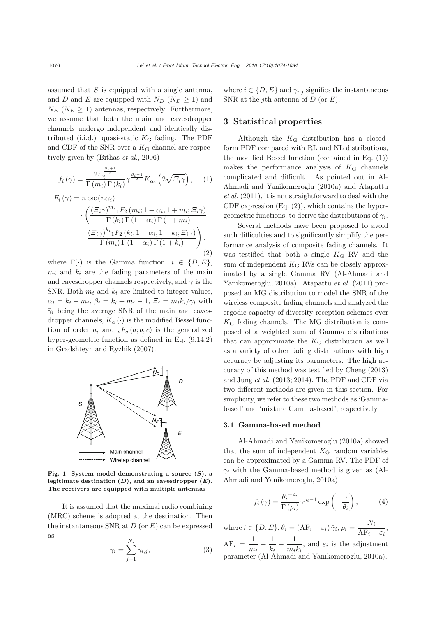assumed that  $S$  is equipped with a single antenna, and D and E are equipped with  $N_D$  ( $N_D \geq 1$ ) and  $N_E$  ( $N_E \geq 1$ ) antennas, respectively. Furthermore, we assume that both the main and eavesdropper channels undergo independent and identically distributed (i.i.d.) quasi-static  $K_G$  fading. The PDF and CDF of the SNR over a  $K<sub>G</sub>$  channel are respectively given by [\(Bithas](#page-9-16) *et al.*, [2006\)](#page-9-16)

<span id="page-2-0"></span>
$$
f_i(\gamma) = \frac{2\Xi_i^{\frac{\beta_i+1}{2}}}{\Gamma(m_i)\Gamma(k_i)} \gamma^{\frac{\beta_i-1}{2}} K_{\alpha_i} \left(2\sqrt{\Xi_i\gamma}\right), \quad (1)
$$

<span id="page-2-1"></span>
$$
F_i(\gamma) = \pi \csc(\pi \alpha_i)
$$

$$
\cdot \left( \frac{(\Xi_i \gamma)^{m_i} {}_1F_2(m_i; 1 - \alpha_i, 1 + m_i; \Xi_i \gamma)}{\Gamma(k_i) \Gamma(1 - \alpha_i) \Gamma(1 + m_i)} - \frac{(\Xi_i \gamma)^{k_i} {}_1F_2(k_i; 1 + \alpha_i, 1 + k_i; \Xi_i \gamma)}{\Gamma(m_i) \Gamma(1 + \alpha_i) \Gamma(1 + k_i)} \right),
$$
(2)

where  $\Gamma(\cdot)$  is the Gamma function,  $i \in \{D, E\},\$  $m_i$  and  $k_i$  are the fading parameters of the main and eavesdropper channels respectively, and  $\gamma$  is the SNR. Both  $m_i$  and  $k_i$  are limited to integer values,  $\alpha_i = k_i - m_i$ ,  $\beta_i = k_i + m_i - 1$ ,  $\Xi_i = m_i k_i / \bar{\gamma}_i$  with  $\bar{\gamma}_i$  being the average SNR of the main and eavesdropper channels,  $K_a(\cdot)$  is the modified Bessel function of order a, and  ${}_{p}F_{q}(a;b;c)$  is the generalized hyper-geometric function as defined in Eq. (9.14.2) in [Gradshteyn and Ryzhik](#page-9-17) [\(2007\)](#page-9-17).



Fig. 1 System model demonstrating a source (*S*), a legitimate destination (*D*), and an eavesdropper (*E*). The receivers are equipped with multiple antennas

It is assumed that the maximal radio combining (MRC) scheme is adopted at the destination. Then the instantaneous SNR at  $D$  (or  $E$ ) can be expressed as

<span id="page-2-3"></span>
$$
\gamma_i = \sum_{j=1}^{N_i} \gamma_{i,j},\tag{3}
$$

where  $i \in \{D, E\}$  and  $\gamma_{i,j}$  signifies the instantaneous SNR at the jth antenna of  $D$  (or  $E$ ).

## 3 Statistical properties

Although the  $K_G$  distribution has a closedform PDF compared with RL and NL distributions, the modified Bessel function (contained in Eq. [\(1\)](#page-2-0)) makes the performance analysis of  $K_G$  channels complicated and difficult. [As](#page-8-2) [pointed](#page-8-2) [out](#page-8-2) [in](#page-8-2) Al-Ah[madi](#page-9-18) [and](#page-9-18) [Yanikomeroglu](#page-9-18) [\(2010a](#page-8-2)[\)](#page-9-18) [and](#page-9-18) Atapattu *et al.* [\(2011\)](#page-9-18), it is not straightforward to deal with the CDF expression  $(Eq. (2))$  $(Eq. (2))$  $(Eq. (2))$ , which contains the hypergeometric functions, to derive the distributions of  $\gamma_i$ .

Several methods have been proposed to avoid such difficulties and to significantly simplify the performance analysis of composite fading channels. It was testified that both a single  $K_G$  RV and the sum of independent  $K_G$  RVs can be closely approximated by a [single](#page-8-2) [Gamma](#page-8-2) [RV](#page-8-2) [\(](#page-8-2)Al-Ahmadi and Yanikomeroglu, [2010a](#page-8-2)). [Atapattu](#page-9-18) *et al.* [\(2011](#page-9-18)) proposed an MG distribution to model the SNR of the wireless composite fading channels and analyzed the ergodic capacity of diversity reception schemes over  $K_G$  fading channels. The MG distribution is composed of a weighted sum of Gamma distributions that can approximate the  $K_G$  distribution as well as a variety of other fading distributions with high accuracy by adjusting its parameters. The high accuracy of this method was testified by Cheng (2013) and Jung *et al.* (2013; 2014). The PDF and CDF via two different methods are given in this section. For simplicity, we refer to these two methods as 'Gammabased' and 'mixture Gamma-based', respectively.

#### 3.1 Gamma-based method

Al-Ahmadi and Yanikomeroglu [\(2010a](#page-8-2)) showed that the sum of independent  $K<sub>G</sub>$  random variables can be approximated by a Gamma RV. The PDF of  $\gamma_i$  with the Gamma-based [method](#page-8-2) [is](#page-8-2) [given](#page-8-2) [as](#page-8-2) [\(](#page-8-2)Al-Ahmadi and Yanikomeroglu, [2010a](#page-8-2))

<span id="page-2-2"></span>
$$
f_i(\gamma) = \frac{\theta_i^{-\rho_i}}{\Gamma(\rho_i)} \gamma^{\rho_i - 1} \exp\left(-\frac{\gamma}{\theta_i}\right),\tag{4}
$$

where  $i \in \{D, E\}, \theta_i = (AF_i - \varepsilon_i) \overline{\gamma}_i, \rho_i = \frac{N_i}{AF_i - \varepsilon_i},$  $AF_i = \frac{1}{m_i} + \frac{1}{k_i}$  $\frac{1}{k_i} + \frac{1}{m_i}$  $\frac{1}{m_i k_i}$ , and  $\varepsilon_i$  is the adjustment parameter [\(Al-Ahmadi and Yanikomeroglu, 2010a](#page-8-2)).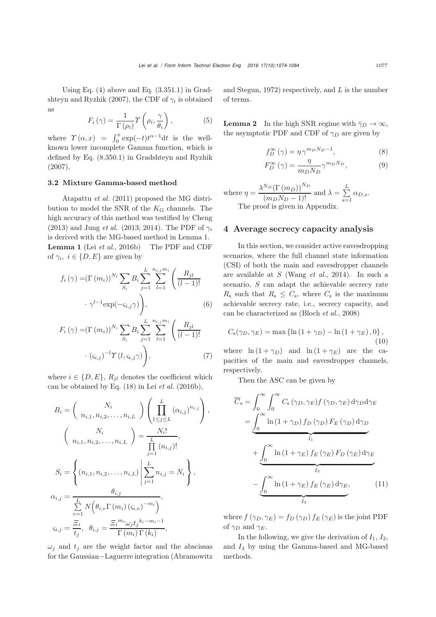Using [Eq.](#page-9-17)  $(4)$  [above](#page-9-17) [and](#page-9-17) Eq.  $(3.351.1)$  [in](#page-9-17) Grad-shteyn and Ryzhik [\(2007\)](#page-9-17), the CDF of  $\gamma_i$  is obtained as

<span id="page-3-0"></span>
$$
F_i(\gamma) = \frac{1}{\Gamma(\rho_i)} \gamma\left(\rho_i, \frac{\gamma}{\theta_i}\right),\tag{5}
$$

where  $\Upsilon(\alpha, x) = \int_0^x \exp(-t) t^{\alpha - 1} dt$  is the wellknown lower incomplete Gamma function, which is defined by Eq. (8.350.1) in [Gradshteyn and Ryzhik](#page-9-17) [\(2007](#page-9-17)).

## 3.2 Mixture Gamma-based method

Atapattu *et al.* [\(2011](#page-9-18)) proposed the MG distribution to model the SNR of the  $K_G$  channels. The high accuracy of this method was testified by [Cheng](#page-9-19) [\(2013](#page-9-19)) and Jung *et al.* (2013; 2014). The PDF of  $\gamma_i$ is derived with the MG-based method in Lemma 1. Lemma 1 (Lei *[et al.](#page-9-20)*, [2016b](#page-9-20)) The PDF and CDF of  $\gamma_i, i \in \{D, E\}$  are given by

$$
f_i(\gamma) = (\Gamma(m_i))^{N_i} \sum_{S_i} B_i \sum_{j=1}^L \sum_{l=1}^{n_{i,j}m_i} \left( \frac{R_{jl}}{(l-1)!} \right)
$$

$$
\cdot \gamma^{l-1} \exp(-\varsigma_{i,j}\gamma) \Bigg), \tag{6}
$$

$$
F_i(\gamma) = (\Gamma(m_i))^{N_i} \sum_{S_i} B_i \sum_{j=1}^L \sum_{l=1}^{n_{i,j}m_i} \left( \frac{R_{jl}}{(l-1)!} \right)
$$

$$
\cdot \left( \zeta_{i,j} \right)^{-l} \Upsilon(l, \zeta_{i,j} \gamma) \Bigg), \tag{7}
$$

where  $i \in \{D, E\}$ ,  $R_{jl}$  denotes the coefficient which can be obtained by Eq.  $(18)$  in Lei *[et al.](#page-9-20)*  $(2016b)$ ,

$$
B_{i} = \begin{pmatrix} N_{i} \\ n_{i,1}, n_{i,2}, \dots, n_{i,L} \end{pmatrix} \left( \prod_{1 \leq j \leq L}^{L} (\alpha_{i,j})^{n_{i,j}} \right),
$$
  

$$
\begin{pmatrix} N_{i} \\ n_{i,1}, n_{i,2}, \dots, n_{i,L} \end{pmatrix} = \frac{N_{i}!}{\prod_{j=1}^{L} (n_{i,j})!},
$$
  

$$
S_{i} = \begin{cases} (n_{i,1}, n_{i,2}, \dots, n_{i,L}) \left| \sum_{j=1}^{L} n_{i,j} = N_{i} \right|, \\ \sum_{v=1}^{L} N (\theta_{i,v} \Gamma(m_{i}) (\zeta_{i,v})^{-m_{i}}), \\ \zeta_{i,j} = \frac{\Xi_{i}}{\prod_{j=1}^{L} N(\theta_{i,v} \Gamma(m_{i}) (\zeta_{i,v})^{-m_{i}})}{\Gamma(m_{i}) \Gamma(k_{i})}, \end{cases}
$$

 $\omega_j$  and  $t_j$  are the weight factor and the abscissas for the Gaussian−Laguerre integration (Abramowitz

and Stegun, [1972\)](#page-8-3) respectively, and  $L$  is the number of terms.

**Lemma 2** In the high SNR regime with  $\bar{\gamma}_D \to \infty$ , the asymptotic PDF and CDF of  $\gamma_D$  are given by

<span id="page-3-5"></span><span id="page-3-4"></span>
$$
f_D^{\infty}(\gamma) = \eta \,\gamma^{m_D N_D - 1},\tag{8}
$$

$$
F_D^{\infty}(\gamma) = \frac{\eta}{m_D N_D} \gamma^{m_D N_D},\tag{9}
$$

where 
$$
\eta = \frac{\lambda^{N_D} (\Gamma(m_D))^{N_D}}{(m_D N_D - 1)!}
$$
 and  $\lambda = \sum_{s=1}^{L} \alpha_{D,s}$ .  
The proof is given in Appendix.

## [4 Averag](#page-8-3)e secrecy capacity analysis

In this section, we consider active eavesdropping scenarios, where the full channel state information (CSI) of both the main and eavesdropper channels are available at S [\(Wang](#page-9-21) *et al.*, [2014](#page-9-21)). In such a scenario,  $S$  can adapt the achievable secrecy rate  $R<sub>s</sub>$  such that  $R<sub>s</sub> \leq C<sub>s</sub>$ , where  $C<sub>s</sub>$  is the maximum achievable secrecy rate, i.e., secrecy capacity, and can be characterized as [\(Bloch](#page-9-22) *et al.*, [2008\)](#page-9-22)

<span id="page-3-2"></span>
$$
C_{\rm s}(\gamma_D, \gamma_E) = \max\left\{\ln\left(1 + \gamma_D\right) - \ln\left(1 + \gamma_E\right), 0\right\},\tag{10}
$$

<span id="page-3-3"></span>where  $\ln (1 + \gamma_D)$  and  $\ln (1 + \gamma_E)$  are the capacities of the main and eavesdropper channels, respectively.

Then the ASC can be given by

$$
\overline{C}_{s} = \int_{0}^{\infty} \int_{0}^{\infty} C_{s} (\gamma_{D}, \gamma_{E}) f(\gamma_{D}, \gamma_{E}) d\gamma_{D} d\gamma_{E}
$$
\n
$$
= \underbrace{\int_{0}^{\infty} \ln (1 + \gamma_{D}) f_{D}(\gamma_{D}) F_{E}(\gamma_{D}) d\gamma_{D}}_{I_{1}} + \underbrace{\int_{0}^{\infty} \ln (1 + \gamma_{E}) f_{E}(\gamma_{E}) F_{D}(\gamma_{E}) d\gamma_{E}}_{I_{2}} - \underbrace{\int_{0}^{\infty} \ln (1 + \gamma_{E}) f_{E}(\gamma_{E}) d\gamma_{E}}_{I_{3}}, \qquad (11)
$$

<span id="page-3-1"></span>where  $f(\gamma_D, \gamma_E) = f_D(\gamma_D) f_E(\gamma_E)$  is the joint PDF of  $\gamma_D$  and  $\gamma_E$ .

In the following, we give the derivation of  $I_1$ ,  $I_2$ , and  $I_3$  by using the Gamma-based and MG-based methods.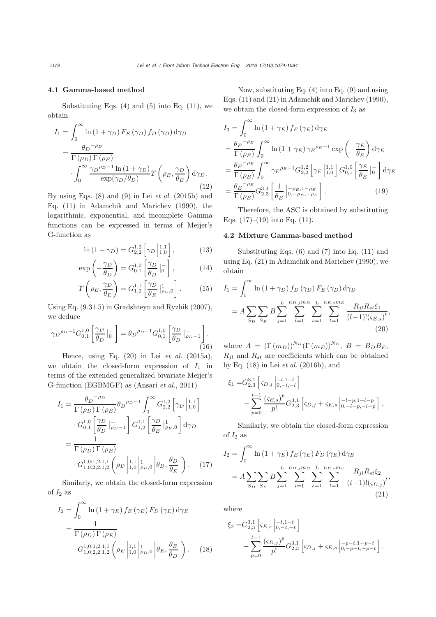## 4.1 Gamma-based method

Substituting Eqs.  $(4)$  and  $(5)$  into Eq.  $(11)$ , we obtain

$$
I_1 = \int_0^\infty \ln(1 + \gamma_D) F_E(\gamma_D) f_D(\gamma_D) d\gamma_D
$$
  
= 
$$
\frac{\theta_D^{-\rho_D}}{\Gamma(\rho_D) \Gamma(\rho_E)} \cdot \int_0^\infty \frac{\gamma_D^{\rho_D - 1} \ln(1 + \gamma_D)}{\exp(\gamma_D/\theta_D)} \gamma\left(\rho_E, \frac{\gamma_D}{\theta_E}\right) d\gamma_D.
$$
(12)

By using Eqs. (8) and (9) in Lei *[et al.](#page-9-8)* [\(2015b\)](#page-9-8) and Eq. (11) in [Adamchik and Marichev](#page-8-4) [\(1990\)](#page-8-4), the logarithmic, exponential, and incomplete Gamma functions can be expressed in terms of Meijer's G-function as

$$
\ln\left(1+\gamma_D\right) = G_{2,2}^{1,2} \left[\gamma_D \left| \begin{array}{c} 1,1\\1,0 \end{array} \right],\right. \tag{13}
$$

$$
\exp\left(-\frac{\gamma_D}{\theta_D}\right) = G_{0,1}^{1,0} \left[\frac{\gamma_D}{\theta_D} \Big|_{0}^{-}\right],\tag{14}
$$

$$
\Upsilon\left(\rho_E, \frac{\gamma_D}{\theta_E}\right) = G_{1,2}^{1,1} \left[\frac{\gamma_D}{\theta_E} \Big|_{\rho_E,0}^1\right].
$$
 (15)

Using Eq. (9.31.5) in [Gradshteyn and Ryzhik](#page-9-17) [\(2007\)](#page-9-17), we deduce

$$
\gamma_D{}^{\rho_D - 1} G_{0,1}^{1,0} \left[ \frac{\gamma_D}{\theta_D} \Big|_0^-\right] = \theta_D{}^{\rho_D - 1} G_{0,1}^{1,0} \left[ \frac{\gamma_D}{\theta_D} \Big|_{\rho_D - 1}^-\right].
$$
\n(16)

Hence, using Eq. (20) in Lei *[et al.](#page-9-14)* [\(2015a\)](#page-9-14), we obtain the closed-form expression of  $I_1$  in terms of the extended generalized bivariate Meijer's G-function (EGBMGF) as [\(Ansari](#page-8-5) *et al.*, [2011\)](#page-8-5)

$$
I_{1} = \frac{\theta_{D}^{-\rho_{D}}}{\Gamma(\rho_{D})\Gamma(\rho_{E})} \theta_{D}^{\rho_{D}-1} \int_{0}^{\infty} G_{2,2}^{1,2} \left[ \gamma_{D} \Big|_{1,0}^{1,1} \right]
$$

$$
\cdot G_{0,1}^{1,0} \left[ \frac{\gamma_{D}}{\theta_{D}} \Big|_{\rho_{D}-1}^{-1} \right] G_{1,2}^{1,1} \left[ \frac{\gamma_{D}}{\theta_{E}} \Big|_{\rho_{E},0}^{1} \right] d\gamma_{D}
$$

$$
= \frac{1}{\Gamma(\rho_{D})\Gamma(\rho_{E})}
$$

$$
\cdot G_{1,0:2,2:1,2}^{1,0:1,2:1,1} \left( \rho_{D} \Big|_{1,0}^{1,1} \Big|_{\rho_{E},0} \Big| \theta_{D}, \frac{\theta_{D}}{\theta_{E}} \right). (17)
$$

Similarly, we obtain the closed-form expression of  $I_2$  as

$$
I_2 = \int_0^\infty \ln(1 + \gamma_E) f_E(\gamma_E) F_D(\gamma_E) d\gamma_E
$$
  
= 
$$
\frac{1}{\Gamma(\rho_D) \Gamma(\rho_E)}
$$
  

$$
\cdot G_{1,0:2,2:1,2}^{1,0:1,2:1,1} \left( \rho_E \left| \begin{array}{l} 1,1 \\ 1,0 \end{array} \right| \rho_D, 0 \left| \theta_E, \frac{\theta_E}{\theta_D} \right. \right). (18)
$$

Now, substituting Eq. (4) into Eq. (9) and using Eqs. (11) and (21) in [Adamchik and Marichev](#page-8-4) [\(1990\)](#page-8-4), we obtain the closed-form expression of  $I_3$  as

$$
I_3 = \int_0^\infty \ln(1 + \gamma_E) f_E(\gamma_E) d\gamma_E
$$
  
\n
$$
= \frac{\theta_E^{-\rho_E}}{\Gamma(\rho_E)} \int_0^\infty \ln(1 + \gamma_E) \gamma_E^{\rho_E - 1} \exp\left(-\frac{\gamma_E}{\theta_E}\right) d\gamma_E
$$
  
\n
$$
= \frac{\theta_E^{-\rho_E}}{\Gamma(\rho_E)} \int_0^\infty \gamma_E^{\rho_E - 1} G_{2,2}^{1,2} \left[\gamma_E \mid_{1,0}^{1,1} \right] G_{0,1}^{1,0} \left[\frac{\gamma_E}{\theta_E} \mid_0^-\right] d\gamma_E
$$
  
\n
$$
= \frac{\theta_E^{-\rho_E}}{\Gamma(\rho_E)} G_{2,3}^{3,1} \left[\frac{1}{\theta_E} \mid_{0, -\rho_E, -\rho_E}^{-\rho_E}\right].
$$
 (19)

<span id="page-4-1"></span>Therefore, the ASC is obtained by substituting Eqs.  $(17)$ – $(19)$  into Eq.  $(11)$ .

#### 4.2 Mixture Gamma-based method

Substituting Eqs. [\(6\)](#page-3-2) and [\(7\)](#page-3-3) into Eq. [\(11\)](#page-3-1) and using Eq. (21) in [Adamchik and Marichev](#page-8-4) [\(1990\)](#page-8-4), we obtain

$$
I_{1} = \int_{0}^{\infty} \ln(1 + \gamma_{D}) f_{D}(\gamma_{D}) F_{E}(\gamma_{D}) d\gamma_{D}
$$
  
=  $A \sum_{S_{D}} \sum_{S_{E}} B \sum_{j=1}^{L} \sum_{l=1}^{n_{D,j} m_{D}} \sum_{s=1}^{L} \sum_{t=1}^{n_{E,s} m_{E}} \frac{R_{jl} R_{st} \xi_{1}}{(l-1)!(\varsigma_{E,s})^{t}},$   
(20)

<span id="page-4-2"></span>where  $A = (\Gamma(m_D))^{N_D} (\Gamma(m_E))^{N_E}$ ,  $B = B_D B_E$ ,  $R_{jl}$  and  $R_{st}$  are coefficients which can be obtained by Eq. (18) in Lei *[et al.](#page-9-20)* [\(2016b\)](#page-9-20), and

$$
\xi_1 = G_{2,3}^{3,1} \left[ \varsigma_{D,j} \Big|_{0,-l,-l}^{-l,1-l} \right] \n- \sum_{p=0}^{t-1} \frac{\left( \varsigma_{E,s} \right)^p}{p!} G_{2,3}^{3,1} \left[ \varsigma_{D,j} + \varsigma_{E,s} \Big|_{0,-l-p,-l-p}^{-l-p} \right].
$$

Similarly, we obtain the closed-form expression of  $I_2$  as

<span id="page-4-0"></span>
$$
I_2 = \int_0^\infty \ln(1 + \gamma_E) f_E(\gamma_E) F_D(\gamma_E) d\gamma_E
$$
  
=  $A \sum_{S_D} \sum_{S_E} B \sum_{j=1}^L \sum_{l=1}^{n_{D,j} m_D} \sum_{s=1}^L \sum_{t=1}^{n_{E,s} m_E} \frac{R_{jl} R_{st} \xi_2}{(t-1)! (\varsigma_{D,j})^l},$   
(21)

where

$$
\xi_2 = G_{2,3}^{3,1} \left[ \varsigma_{E,s} \left| \begin{matrix} -t, 1-t \\ 0, -t, -t \end{matrix} \right| \right] - \sum_{p=0}^{l-1} \frac{\left( \varsigma_{D,j} \right)^p}{p!} G_{2,3}^{3,1} \left[ \varsigma_{D,j} + \varsigma_{E,s} \left| \begin{matrix} -p-t, 1-p-t \\ 0, -p-t, -p-t \end{matrix} \right| \right].
$$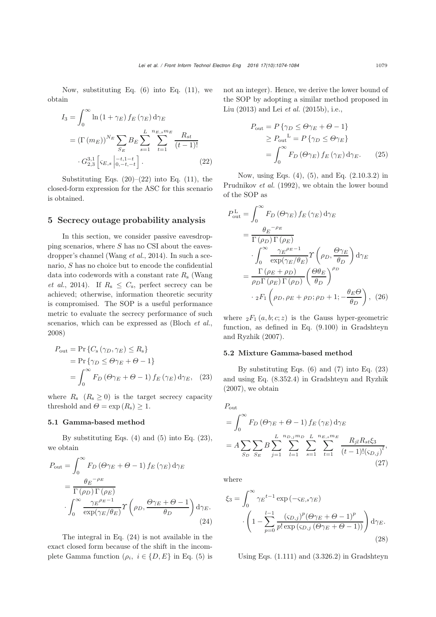Now, substituting Eq.  $(6)$  into Eq.  $(11)$ , we obtain

$$
I_3 = \int_0^\infty \ln(1 + \gamma_E) f_E(\gamma_E) d\gamma_E
$$
  
=  $(\Gamma(m_E))^{N_E} \sum_{S_E} B_E \sum_{s=1}^L \sum_{t=1}^{n_{E,s} m_E} \frac{R_{st}}{(t-1)!}$   
 $\cdot G_{2,3}^{3,1} [\varsigma_{E,s} |_{0,-t,-t}^{-t}] .$  (22)

Substituting Eqs.  $(20)$ – $(22)$  into Eq.  $(11)$ , the closed-form expression for the ASC for this scenario is obtained.

# 5 Secrecy outage probability analysis

In this section, we consider passive eavesdropping scenarios, where  $S$  has no CSI about the eavesdropper's channel [\(Wang](#page-9-21) *et al.*, [2014](#page-9-21)). In such a scenario, S has no choice but to encode the confidential data [into](#page-9-21) [codewords](#page-9-21) [with](#page-9-21) [a](#page-9-21) [constant](#page-9-21) [rate](#page-9-21)  $R<sub>s</sub>$  (Wang *et al.*, [2014\)](#page-9-21). If  $R_s \leq C_s$ , perfect secrecy can be achieved; otherwise, information theoretic security is compromised. The SOP is a useful performance metric to evaluate the secrecy performance of such scenarios, which can be expressed as [\(Bloch](#page-9-22) *et al.*, [2008](#page-9-22))

$$
P_{\text{out}} = \Pr \{ C_{\text{s}} (\gamma_D, \gamma_E) \le R_{\text{s}} \}
$$
  
=  $\Pr \{ \gamma_D \le \Theta \gamma_E + \Theta - 1 \}$   
=  $\int_0^\infty F_D (\Theta \gamma_E + \Theta - 1) f_E (\gamma_E) d\gamma_E$ , (23)

where  $R_s$   $(R_s \geq 0)$  is the target secrecy capacity threshold and  $\Theta = \exp(R_{\rm s}) \geq 1$ .

#### 5.1 Gamma-based method

By substituting Eqs.  $(4)$  and  $(5)$  into Eq.  $(23)$ , we obtain

$$
P_{\text{out}} = \int_0^\infty F_D \left(\Theta \gamma_E + \Theta - 1\right) f_E \left(\gamma_E\right) d\gamma_E
$$
  
= 
$$
\frac{\theta_E^{-\rho_E}}{\Gamma(\rho_D) \Gamma(\rho_E)}
$$
  

$$
\cdot \int_0^\infty \frac{\gamma_E^{\rho_E - 1}}{\exp(\gamma_E/\theta_E)} \gamma\left(\rho_D, \frac{\Theta \gamma_E + \Theta - 1}{\theta_D}\right) d\gamma_E.
$$
 (24)

The integral in Eq. [\(24\)](#page-5-2) is not available in the exact closed form because of the shift in the incomplete Gamma function  $(\rho_i, i \in \{D, E\})$  in Eq. [\(5\)](#page-3-0) is not an integer). Hence, we derive the lower bound of the SOP by adopting a similar method proposed in [Liu](#page-9-23) [\(2013\)](#page-9-23) and Lei *[et al.](#page-9-8)* [\(2015b\)](#page-9-8), i.e.,

$$
P_{\text{out}} = P \{ \gamma_D \le \Theta \gamma_E + \Theta - 1 \}
$$
  
\n
$$
\ge P_{\text{out}}^{\text{L}} = P \{ \gamma_D \le \Theta \gamma_E \}
$$
  
\n
$$
= \int_0^\infty F_D (\Theta \gamma_E) f_E (\gamma_E) d\gamma_E.
$$
 (25)

<span id="page-5-0"></span>Now, using Eqs. [\(4\)](#page-2-2), [\(5\)](#page-3-0), and Eq. (2.10.3.2) in [Prudnikov](#page-9-24) *et al.* [\(1992](#page-9-24)), we obtain the lower bound of the SOP as

$$
P_{\text{out}}^{\text{L}} = \int_{0}^{\infty} F_{D} \left(\Theta \gamma_{E}\right) f_{E} \left(\gamma_{E}\right) d\gamma_{E}
$$
  
= 
$$
\frac{\theta_{E}^{-\rho_{E}}}{\Gamma\left(\rho_{D}\right) \Gamma\left(\rho_{E}\right)}
$$

$$
\cdot \int_{0}^{\infty} \frac{\gamma_{E}^{\rho_{E}-1}}{\exp(\gamma_{E}/\theta_{E})} \Upsilon\left(\rho_{D}, \frac{\Theta \gamma_{E}}{\theta_{D}}\right) d\gamma_{E}
$$

$$
= \frac{\Gamma\left(\rho_{E} + \rho_{D}\right)}{\rho_{D} \Gamma\left(\rho_{E}\right) \Gamma\left(\rho_{D}\right)} \left(\frac{\Theta \theta_{E}}{\theta_{D}}\right)^{\rho_{D}}
$$

$$
\cdot {}_{2}F_{1} \left(\rho_{D}, \rho_{E} + \rho_{D}; \rho_{D} + 1; -\frac{\theta_{E}\Theta}{\theta_{D}}\right), (26)
$$

<span id="page-5-3"></span>where  ${}_2F_1(a, b; c; z)$  is the Gauss hyper-geometric function, a[s](#page-9-17) [defined](#page-9-17) [in](#page-9-17) [Eq.](#page-9-17) [\(9.100\)](#page-9-17) [in](#page-9-17) Gradshteyn and Ryzhik [\(2007\)](#page-9-17).

#### 5.2 Mixture Gamma-based method

<span id="page-5-1"></span>By substituting Eqs.  $(6)$  and  $(7)$  into Eq.  $(23)$ and using Eq. (8.352.4) in [Gradshteyn and Ryzhik](#page-9-17) [\(2007](#page-9-17)), we obtain

$$
P_{\text{out}} = \int_0^\infty F_D (\Theta \gamma_E + \Theta - 1) f_E (\gamma_E) d\gamma_E
$$
  
=  $A \sum_{S_D} \sum_{S_E} B \sum_{j=1}^L \sum_{l=1}^{n_{D,j} m_D} \sum_{s=1}^L \sum_{t=1}^{n_{E,s} m_E} \frac{R_{jl} R_{st} \xi_3}{(t-1)!(s_{D,j})^l},$   
(27)

where

<span id="page-5-4"></span><span id="page-5-2"></span>
$$
\xi_3 = \int_0^\infty \gamma_E^{t-1} \exp\left(-\varsigma_{E,s}\gamma_E\right)
$$

$$
\cdot \left(1 - \sum_{p=0}^{l-1} \frac{\left(\varsigma_{D,j}\right)^p (\Theta \gamma_E + \Theta - 1)^p}{p! \exp\left(\varsigma_{D,j} \left(\Theta \gamma_E + \Theta - 1\right)\right)}\right) d\gamma_E.
$$
\n(28)

Using Eqs. (1.111) and (3.326.2) in Gradshteyn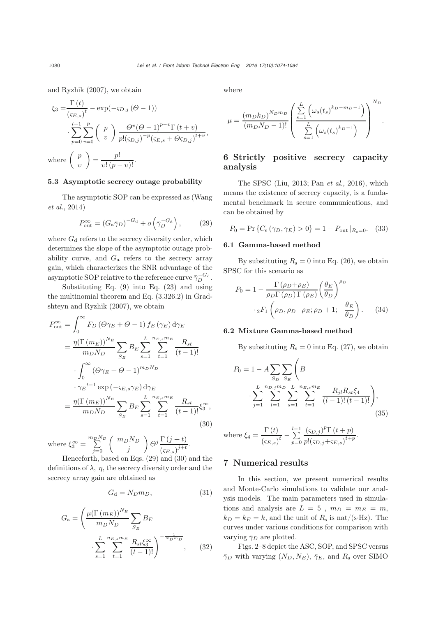and Ryzhik [\(2007\)](#page-9-17), we obtain

$$
\xi_3 = \frac{\Gamma(t)}{\left(\varsigma_{E,s}\right)^t} - \exp(-\varsigma_{D,j}(\Theta - 1))
$$

$$
\cdot \sum_{p=0}^{l-1} \sum_{v=0}^p \binom{p}{v} \frac{\Theta^v(\Theta - 1)^{p-v} \Gamma(t+v)}{p!(\varsigma_{D,j})^{-p}(\varsigma_{E,s} + \Theta \varsigma_{D,j})^{t+v}},
$$
  
where 
$$
\binom{p}{v} = \frac{p!}{v!(p-v)!}.
$$

## 5.3 Asymptotic secrecy outage probability

[The](#page-9-21) [asymptotic](#page-9-21) [SOP](#page-9-21) [can](#page-9-21) [be](#page-9-21) [expressed](#page-9-21) [as](#page-9-21) [\(](#page-9-21)Wang *et al.*, [2014\)](#page-9-21)

<span id="page-6-0"></span>
$$
P_{\text{out}}^{\infty} = \left(G_{\text{a}} \bar{\gamma}_D\right)^{-G_{\text{d}}} + o\left(\bar{\gamma}_D^{-G_{\text{d}}}\right),\tag{29}
$$

where  $G_d$  refers to the secrecy diversity order, which determines the slope of the asymptotic outage probability curve, and  $G_a$  refers to the secrecy array gain, which characterizes the SNR advantage of the asymptotic SOP relative to the reference curve  $\bar{\gamma}_D^{-G_d}$ .

Substituting Eq. [\(9\)](#page-3-4) into Eq. [\(23\)](#page-5-1) and using the multinomial t[heorem](#page-9-17) [and](#page-9-17) [Eq.](#page-9-17) [\(3.326.2\)](#page-9-17) [in](#page-9-17) Gradshteyn and Ryzhik [\(2007](#page-9-17)), we obtain

$$
P_{\text{out}}^{\infty} = \int_{0}^{\infty} F_{D} \left(\Theta \gamma_{E} + \Theta - 1\right) f_{E} \left(\gamma_{E}\right) d\gamma_{E}
$$
  
\n
$$
= \frac{\eta \left(\Gamma \left(m_{E}\right)\right)^{N_{E}}}{m_{D} N_{D}} \sum_{S_{E}} B_{E} \sum_{s=1}^{L} \sum_{t=1}^{n_{E,s} m_{E}} \frac{R_{st}}{(t-1)!}
$$
  
\n
$$
\cdot \int_{0}^{\infty} \left(\Theta \gamma_{E} + \Theta - 1\right)^{m_{D} N_{D}} \cdot \gamma_{E}^{-t-1} \exp\left(-\varsigma_{E,s} \gamma_{E}\right) d\gamma_{E}
$$
  
\n
$$
= \frac{\eta \left(\Gamma \left(m_{E}\right)\right)^{N_{E}}}{m_{D} N_{D}} \sum_{S_{E}} B_{E} \sum_{s=1}^{L} \sum_{t=1}^{n_{E,s} m_{E}} \frac{R_{st}}{(t-1)!} \xi_{s}^{\infty}, \tag{30}
$$

where  $\xi_3^{\infty} = \sum_{j=0}^{m_D N_D} \begin{pmatrix} m_D N_D \\ j \end{pmatrix}$  $\bigg(\frac{\partial^j \Gamma(j+t)}{\partial x^j} \bigg)$  $\frac{1}{\left(\zeta_{E,s}\right)^{j+t}}$ 

Henceforth, based on Eqs. [\(29\)](#page-6-0) and [\(30\)](#page-6-1) and the definitions of  $\lambda$ ,  $\eta$ , the secrecy diversity order and the secrecy array gain are obtained as

$$
G_{\rm d} = N_D m_D, \tag{31}
$$

$$
G_{a} = \left(\frac{\mu(\Gamma(m_{E}))^{N_{E}}}{m_{D}N_{D}} \sum_{S_{E}} B_{E}\right)
$$

$$
\cdot \sum_{s=1}^{L} \sum_{t=1}^{n_{E,s}m_{E}} \frac{R_{st}\xi_{3}^{\infty}}{(t-1)!}\right)^{-\frac{1}{N_{D}m_{D}}}, \quad (32)
$$

where

$$
\mu = \frac{(m_D k_D)^{N_D m_D}}{(m_D N_D - 1)!} \left( \frac{\sum_{s=1}^{L} \left( \omega_s(t_s)^{k_D - m_D - 1} \right)}{\sum_{s=1}^{L} \left( \omega_s(t_s)^{k_D - 1} \right)} \right)^{N_D}.
$$

# 6 Strictly positive secrecy capacity analysis

The SPSC [\(Liu, 2013](#page-9-23); Pan *[et al.](#page-9-9)*, [2016\)](#page-9-9), which means the existence of secrecy capacity, is a fundamental benchmark in secure communications, and can be obtained by

$$
P_0 = \Pr\left\{C_s \left(\gamma_D, \gamma_E\right) > 0\right\} = 1 - P_{\text{out}} \left|_{R_s = 0}. \right. (33)
$$

## 6.1 Gamma-based method

By substituting  $R_s = 0$  into Eq. [\(26\)](#page-5-3), we obtain SPSC for this scenario as

$$
P_0 = 1 - \frac{\Gamma(\rho_D + \rho_E)}{\rho_D \Gamma(\rho_D) \Gamma(\rho_E)} \left(\frac{\theta_E}{\theta_D}\right)^{\rho_D}
$$

$$
\cdot {}_2F_1 \left(\rho_D, \rho_D + \rho_E; \rho_D + 1; -\frac{\theta_E}{\theta_D}\right). \tag{34}
$$

#### 6.2 Mixture Gamma-based method

By substituting  $R_s = 0$  into Eq. [\(27\)](#page-5-4), we obtain

$$
P_0 = 1 - A \sum_{S_D} \sum_{S_E} \left( B \cdot \sum_{j=1}^{n_{D,j} m_D} \sum_{L=1}^{L} \sum_{s=1}^{n_{E,s} m_E} \frac{R_{jl} R_{st} \xi_4}{(l-1)!(t-1)!} \right),
$$
\n(35)

<span id="page-6-1"></span>where 
$$
\xi_4 = \frac{\Gamma(t)}{(\varsigma_{E,s})^t} - \sum_{p=0}^{l-1} \frac{(\varsigma_{D,j})^p \Gamma(t+p)}{p!(\varsigma_{D,j} + \varsigma_{E,s})^{t+p}}
$$
.

## 7 Numerical results

In this section, we present numerical results and Monte-Carlo simulations to validate our analysis models. The main parameters used in simulations and analysis are  $L = 5$ ,  $m_D = m_E = m$ ,  $k_D = k_E = k$ , and the unit of  $R_s$  is nat/(s·Hz). The curves under various conditions for comparison with varying  $\bar{\gamma}_D$  are plotted.

Figs. 2–8 depict the ASC, SOP, and SPSC versus  $\bar{\gamma}_D$  with varying  $(N_D, N_E)$ ,  $\bar{\gamma}_E$ , and  $R_s$  over SIMO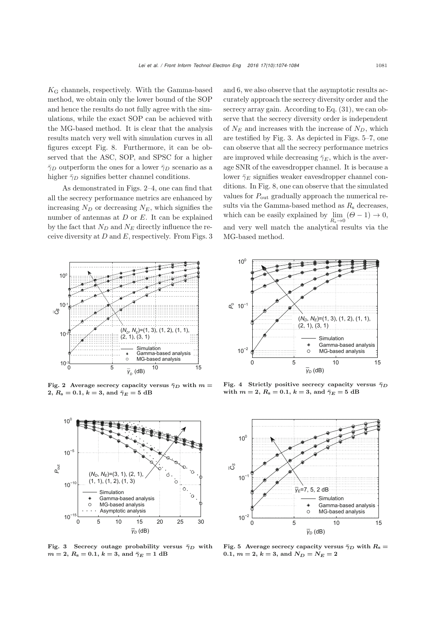$K_G$  channels, respectively. With the Gamma-based method, we obtain only the lower bound of the SOP and hence the results do not fully agree with the simulations, while the exact SOP can be achieved with the MG-based method. It is clear that the analysis results match very well with simulation curves in all figures except Fig. 8. Furthermore, it can be observed that the ASC, SOP, and SPSC for a higher  $\bar{\gamma}_D$  outperform the ones for a lower  $\bar{\gamma}_D$  scenario as a higher  $\bar{\gamma}_D$  signifies better channel conditions.

As demonstrated in Figs. 2–4, one can find that all the secrecy performance metrics are enhanced by increasing  $N_D$  or decreasing  $N_E$ , which signifies the number of antennas at  $D$  or  $E$ . It can be explained by the fact that  $N_D$  and  $N_E$  directly influence the receive diversity at  $D$  and  $E$ , respectively. From Figs. 3



Fig. 2 Average secrecy capacity versus  $\bar{\gamma}_D$  with  $m =$ **2**,  $R_s = 0.1$ ,  $k = 3$ , and  $\bar{\gamma}_E = 5$  dB



Fig. 3 Secrecy outage probability versus  $\bar{\gamma}_D$  with  $m = 2, R_s = 0.1, k = 3$ , and  $\bar{\gamma}_E = 1$  dB

and 6, we also observe that the asymptotic results accurately approach the secrecy diversity order and the secrecy array gain. According to Eq. (31), we can observe that the secrecy diversity order is independent of  $N_E$  and increases with the increase of  $N_D$ , which are testified by Fig. 3. As depicted in Figs. 5–7, one can observe that all the secrecy performance metrics are improved while decreasing  $\bar{\gamma}_E$ , which is the average SNR of the eavesdropper channel. It is because a lower  $\bar{\gamma}_E$  signifies weaker eavesdropper channel conditions. In Fig. 8, one can observe that the simulated values for  $P_{\text{out}}$  gradually approach the numerical results via the Gamma-based method as  $R_s$  decreases, which can be easily explained by  $\lim_{R_s \to 0} (\Theta - 1) \to 0$ , and very well match the analytical results via the MG-based method.



Fig. 4 Strictly positive secrecy capacity versus  $\bar{\gamma}_D$ with  $m = 2, R_s = 0.1, k = 3$ , and  $\bar{\gamma}_E = 5$  dB



Fig. 5 Average secrecy capacity versus  $\bar{\gamma}_D$  with  $R_s =$  $0.1, m = 2, k = 3$ , and  $N_D = N_E = 2$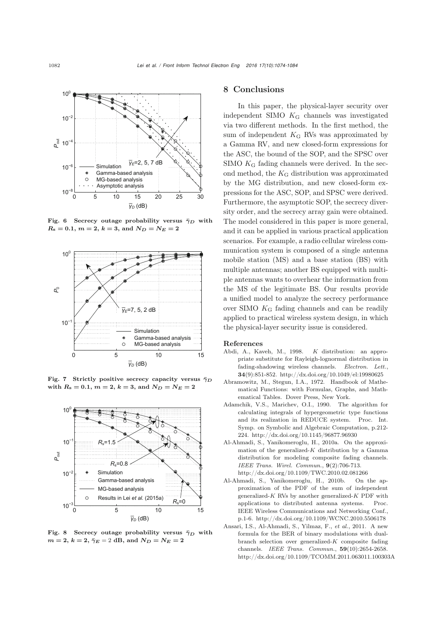

Fig. 6 Secrecy outage probability versus  $\bar{\gamma}_D$  with  $R_s = 0.1$ ,  $m = 2$ ,  $k = 3$ , and  $N_D = N_E = 2$ 



Fig. 7 Strictly positive secrecy capacity versus  $\bar{\gamma}_D$ with  $R_s = 0.1$ ,  $m = 2$ ,  $k = 3$ , and  $N_D = N_E = 2$ 



Fig. 8 Secrecy outage probability versus  $\bar{\gamma}_D$  with  $m = 2, k = 2, \bar{\gamma}_E = 2$  dB, and  $N_D = N_E = 2$ 

## 8 Conclusions

In this paper, the physical-layer security over independent SIMO K<sup>G</sup> channels was investigated via two different methods. In the first method, the sum of independent  $K_G$  RVs was approximated by a Gamma RV, and new closed-form expressions for the ASC, the bound of the SOP, and the SPSC over SIMO  $K_G$  fading channels were derived. In the second method, the  $K_G$  distribution was approximated by the MG distribution, and new closed-form expressions for the ASC, SOP, and SPSC were derived. Furthermore, the asymptotic SOP, the secrecy diversity order, and the secrecy array gain were obtained. The model considered in this paper is more general, and it can be applied in various practical application scenarios. For example, a radio cellular wireless communication system is composed of a single antenna mobile station (MS) and a base station (BS) with multiple antennas; another BS equipped with multiple antennas wants to overhear the information from the MS of the legitimate BS. Our results provide a unified model to analyze the secrecy performance over SIMO K<sup>G</sup> fading channels and can be readily applied to practical wireless system design, in which the physical-layer security issue is considered.

#### References

- <span id="page-8-0"></span>Abdi, A., Kaveh, M., 1998. *K* distribution: an appropriate substitute for Rayleigh-lognormal distribution in fading-shadowing wireless channels. *Electron. Lett.*, 34(9):851-852. http://dx.doi.org/10.1049/el:19980625
- <span id="page-8-3"></span>Abramowitz, M., Stegun, I.A., 1972. Handbook of Mathematical Functions: with Formulas, Graphs, and Mathematical Tables. Dover Press, New York.
- <span id="page-8-4"></span>Adamchik, V.S., Marichev, O.I., 1990. The algorithm for calculating integrals of hypergeometric type functions and its realization in REDUCE system. Proc. Int. Symp. on Symbolic and Algebraic Computation, p.212- 224. http://dx.doi.org/10.1145/96877.96930
- <span id="page-8-2"></span>Al-Ahmadi, S., Yanikomeroglu, H., 2010a. On the approximation of the generalized-*K* distribution by a Gamma distribution for modeling composite fading channels. *IEEE Trans. Wirel. Commun.*, 9(2):706-713. http://dx.doi.org/10.1109/TWC.2010.02.081266
- <span id="page-8-1"></span>Al-Ahmadi, S., Yanikomeroglu, H., 2010b. On the approximation of the PDF of the sum of independent generalized-*K* RVs by another generalized-*K* PDF with applications to distributed antenna systems. Proc. IEEE Wireless Communications and Networking Conf., p.1-6. http://dx.doi.org/10.1109/WCNC.2010.5506178
- <span id="page-8-5"></span>Ansari, I.S., Al-Ahmadi, S., Yilmaz, F., *et al.*, 2011. A new formula for the BER of binary modulations with dualbranch selection over generalized-*K* composite fading channels. *IEEE Trans. Commun.*, 59(10):2654-2658. http://dx.doi.org/10.1109/TCOMM.2011.063011.100303A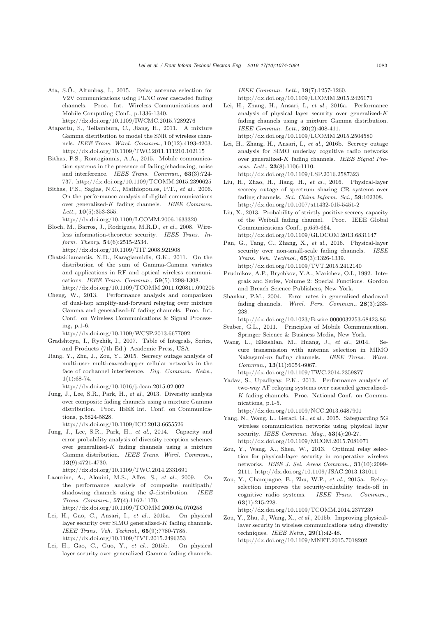- <span id="page-9-7"></span>Ata, S.Ö., Altunbaş, İ., 2015. Relay antenna selection for V2V communications using PLNC over cascaded fading channels. Proc. Int. Wireless Communications and Mobile Computing Conf., p.1336-1340. http://dx.doi.org/10.1109/IWCMC.2015.7289276
- <span id="page-9-18"></span>Atapattu, S., Tellambura, C., Jiang, H., 2011. A mixture Gamma distribution to model the SNR of wireless channels. *IEEE Trans. Wirel. Commun.*, 10(12):4193-4203. http://dx.doi.org/10.1109/TWC.2011.111210.102115
- <span id="page-9-2"></span>Bithas, P.S., Rontogiannis, A.A., 2015. Mobile communication systems in the presence of fading/shadowing, noise and interference. *IEEE Trans. Commun.*, 63(3):724- 737. http://dx.doi.org/10.1109/TCOMM.2015.2390625
- <span id="page-9-16"></span>Bithas, P.S., Sagias, N.C., Mathiopoulos, P.T., *et al.*, 2006. On the performance analysis of digital communications over generalized-*K* fading channels. *IEEE Commun. Lett.*, 10(5):353-355.

http://dx.doi.org/10.1109/LCOMM.2006.1633320

- <span id="page-9-22"></span>Bloch, M., Barros, J., Rodrigues, M.R.D., *et al.*, 2008. Wireless information-theoretic security. *IEEE Trans. Inform. Theory*, 54(6):2515-2534. http://dx.doi.org/10.1109/TIT.2008.921908
- <span id="page-9-13"></span>Chatzidiamantis, N.D., Karagiannidis, G.K., 2011. On the distribution of the sum of Gamma-Gamma variates and applications in RF and optical wireless communications. *IEEE Trans. Commun.*, 59(5):1298-1308. http://dx.doi.org/10.1109/TCOMM.2011.020811.090205
- <span id="page-9-19"></span>Cheng, W., 2013. Performance analysis and comparison
- of dual-hop amplify-and-forward relaying over mixture Gamma and generalized-*K* fading channels. Proc. Int. Conf. on Wireless Communications & Signal Processing, p.1-6.

http://dx.doi.org/10.1109/WCSP.2013.6677092

- <span id="page-9-17"></span>Gradshteyn, I., Ryzhik, I., 2007. Table of Integrals, Series, and Products (7th Ed.) Academic Press, USA.
- <span id="page-9-11"></span>Jiang, Y., Zhu, J., Zou, Y., 2015. Secrecy outage analysis of multi-user multi-eavesdropper cellular networks in the face of cochannel interference. *Dig. Commun. Netw.*,  $1(1):68-74.$

http://dx.doi.org/10.1016/j.dcan.2015.02.002

Jung, J., Lee, S.R., Park, H., *et al.*, 2013. Diversity analysis over composite fading channels using a mixture Gamma distribution. Proc. IEEE Int. Conf. on Communications, p.5824-5828.

http://dx.doi.org/10.1109/ICC.2013.6655526

<span id="page-9-1"></span>Jung, J., Lee, S.R., Park, H., *et al.*, 2014. Capacity and error probability analysis of diversity reception schemes over generalized-*K* fading channels using a mixture Gamma distribution. *IEEE Trans. Wirel. Commun.*, 13(9):4721-4730.

http://dx.doi.org/10.1109/TWC.2014.2331691

- <span id="page-9-4"></span>Laourine, A., Alouini, M.S., Affes, S., *et al.*, 2009. On the performance analysis of composite multipath/ shadowing channels using the G-distribution. *IEEE Trans. Commun.*, 57(4):1162-1170. http://dx.doi.org/10.1109/TCOMM.2009.04.070258
- <span id="page-9-14"></span>Lei, H., Gao, C., Ansari, I., *et al.*, 2015a. On physical layer security over SIMO generalized-*K* fading channels. *IEEE Trans. Veh. Technol.*, 65(9):7780-7785. http://dx.doi.org/10.1109/TVT.2015.2496353
- <span id="page-9-8"></span>Lei, H., Gao, C., Guo, Y., *et al.*, 2015b. On physical layer security over generalized Gamma fading channels.

*IEEE Commun. Lett.*, 19(7):1257-1260. http://dx.doi.org/10.1109/LCOMM.2015.2426171

- <span id="page-9-15"></span>Lei, H., Zhang, H., Ansari, I., *et al.*, 2016a. Performance analysis of physical layer security over generalized-*K* fading channels using a mixture Gamma distribution. *IEEE Commun. Lett.*, 20(2):408-411. http://dx.doi.org/10.1109/LCOMM.2015.2504580
- <span id="page-9-20"></span>Lei, H., Zhang, H., Ansari, I., *et al.*, 2016b. Secrecy outage analysis for SIMO underlay cognitive radio networks over generalized-*K* fading channels. *IEEE Signal Process. Lett.*, 23(8):1106-1110. http://dx.doi.org/10.1109/LSP.2016.2587323
- <span id="page-9-12"></span>Liu, H., Zhao, H., Jiang, H., *et al.*, 2016. Physical-layer secrecy outage of spectrum sharing CR systems over fading channels. *Sci. China Inform. Sci.*, 59:102308. http://dx.doi.org/10.1007/s11432-015-5451-2
- <span id="page-9-23"></span>Liu, X., 2013. Probability of strictly positive secrecy capacity of the Weibull fading channel. Proc. IEEE Global Communications Conf., p.659-664. http://dx.doi.org/10.1109/GLOCOM.2013.6831147
- <span id="page-9-9"></span>Pan, G., Tang, C., Zhang, X., *et al.*, 2016. Physical-layer security over non-small-scale fading channels. *IEEE Trans. Veh. Technol.*, 65(3):1326-1339. http://dx.doi.org/10.1109/TVT.2015.2412140
- <span id="page-9-24"></span>Prudnikov, A.P., Brychkov, Y.A., Marichev, O.I., 1992. Integrals and Series, Volume 2: Special Functions. Gordon and Breach Science Publishers, New York.
- <span id="page-9-3"></span>Shankar, P.M., 2004. Error rates in generalized shadowed fading channels. *Wirel. Pers. Commun.*, 28(3):233- 238.

http://dx.doi.org/10.1023/B:wire.0000032253.68423.86

- <span id="page-9-0"></span>Stuber, G.L., 2011. Principles of Mobile Communication. Springer Science & Business Media, New York.
- <span id="page-9-21"></span>Wang, L., Elkashlan, M., Huang, J., *et al.*, 2014. Secure transmission with antenna selection in MIMO Nakagami-*m* fading channels. *IEEE Trans. Wirel. Commun.*, 13(11):6054-6067. http://dx.doi.org/10.1109/TWC.2014.2359877
- <span id="page-9-5"></span>Yadav, S., Upadhyay, P.K., 2013. Performance analysis of two-way AF relaying systems over cascaded generalized-*K* fading channels. Proc. National Conf. on Communications, p.1-5.

http://dx.doi.org/10.1109/NCC.2013.6487901

- <span id="page-9-6"></span>Yang, N., Wang, L., Geraci, G., *et al.*, 2015. Safeguarding 5G wireless communication networks using physical layer security. *IEEE Commun. Mag.*, 53(4):20-27. http://dx.doi.org/10.1109/MCOM.2015.7081071
- Zou, Y., Wang, X., Shen, W., 2013. Optimal relay selection for physical-layer security in cooperative wireless networks. *IEEE J. Sel. Areas Commun.*, 31(10):2099- 2111. http://dx.doi.org/10.1109/JSAC.2013.131011
- Zou, Y., Champagne, B., Zhu, W.P., *et al.*, 2015a. Relayselection improves the security-reliability trade-off in cognitive radio systems. *IEEE Trans. Commun.*, 63(1):215-228.

http://dx.doi.org/10.1109/TCOMM.2014.2377239

<span id="page-9-10"></span>Zou, Y., Zhu, J., Wang, X., *et al.*, 2015b. Improving physicallayer security in wireless communications using diversity techniques. *IEEE Netw.*, 29(1):42-48. http://dx.doi.org/10.1109/MNET.2015.7018202